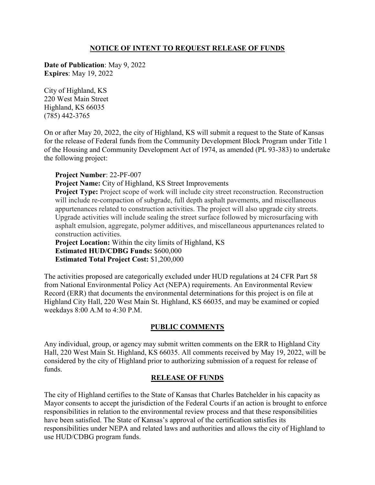## **NOTICE OF INTENT TO REQUEST RELEASE OF FUNDS**

**Date of Publication**: May 9, 2022 **Expires**: May 19, 2022

City of Highland, KS 220 West Main Street Highland, KS 66035 (785) 442-3765

On or after May 20, 2022, the city of Highland, KS will submit a request to the State of Kansas for the release of Federal funds from the Community Development Block Program under Title 1 of the Housing and Community Development Act of 1974, as amended (PL 93-383) to undertake the following project:

**Project Number**: 22-PF-007

**Project Name:** City of Highland, KS Street Improvements

**Project Type:** Project scope of work will include city street reconstruction. Reconstruction will include re-compaction of subgrade, full depth asphalt pavements, and miscellaneous appurtenances related to construction activities. The project will also upgrade city streets. Upgrade activities will include sealing the street surface followed by microsurfacing with asphalt emulsion, aggregate, polymer additives, and miscellaneous appurtenances related to construction activities.

**Project Location:** Within the city limits of Highland, KS **Estimated HUD/CDBG Funds:** \$600,000 **Estimated Total Project Cost:** \$1,200,000

The activities proposed are categorically excluded under HUD regulations at 24 CFR Part 58 from National Environmental Policy Act (NEPA) requirements. An Environmental Review Record (ERR) that documents the environmental determinations for this project is on file at Highland City Hall, 220 West Main St. Highland, KS 66035, and may be examined or copied weekdays 8:00 A.M to 4:30 P.M.

## **PUBLIC COMMENTS**

Any individual, group, or agency may submit written comments on the ERR to Highland City Hall, 220 West Main St. Highland, KS 66035. All comments received by May 19, 2022, will be considered by the city of Highland prior to authorizing submission of a request for release of funds.

## **RELEASE OF FUNDS**

The city of Highland certifies to the State of Kansas that Charles Batchelder in his capacity as Mayor consents to accept the jurisdiction of the Federal Courts if an action is brought to enforce responsibilities in relation to the environmental review process and that these responsibilities have been satisfied. The State of Kansas's approval of the certification satisfies its responsibilities under NEPA and related laws and authorities and allows the city of Highland to use HUD/CDBG program funds.